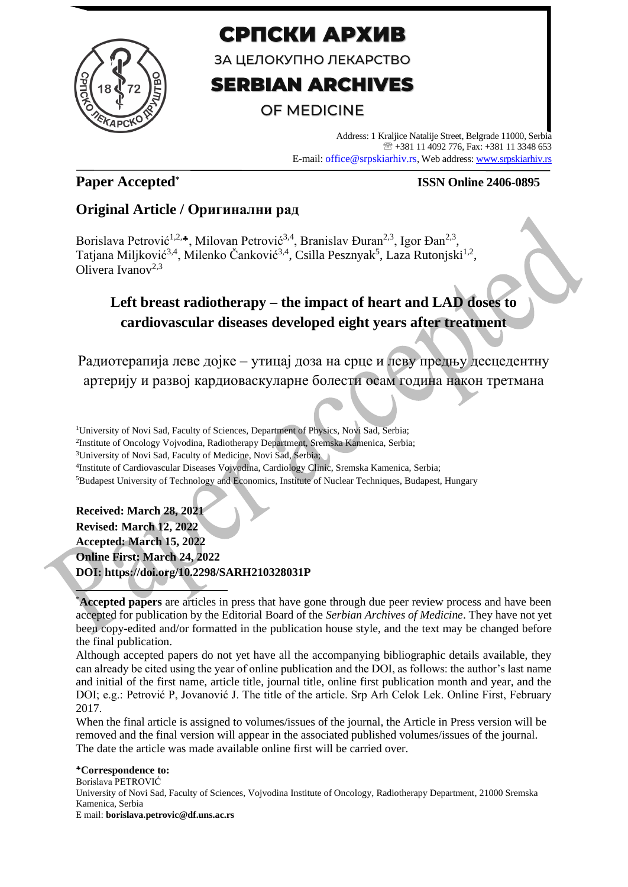

# СРПСКИ АРХИВ

ЗА ЦЕЛОКУПНО ЛЕКАРСТВО

# **SERBIAN ARCHIVES**

## **OF MEDICINE**

Address: 1 Kraljice Natalije Street, Belgrade 11000, Serbia +381 11 4092 776, Fax: +381 11 3348 653 E-mail: office@srpskiarhiv.rs, Web address[: www.srpskiarhiv.rs](http://www.srpskiarhiv.rs/)

### **Paper Accepted\***

### **ISSN Online 2406-0895**

### **Original Article / Оригинални рад**

Borislava Petrović<sup>1,2,</sup>\*, Milovan Petrović<sup>3,4</sup>, Branislav Đuran<sup>2,3</sup>, Igor Đan<sup>2,3</sup>, Tatjana Miljković<sup>3,4</sup>, Milenko Čanković<sup>3,4</sup>, Csilla Pesznyak<sup>5</sup>, Laza Rutonjski<sup>1,2</sup>, Olivera Ivanov<sup>2,3</sup>

## **Left breast radiotherapy – the impact of heart and LAD doses to cardiovascular diseases developed eight years after treatment**

Радиотерапија леве дојке – утицај доза на срце и леву предњу десцедентну артерију и развој кардиоваскуларне болести осам година након третмана

<sup>1</sup>University of Novi Sad, Faculty of Sciences, Department of Physics, Novi Sad, Serbia; 2 Institute of Oncology Vojvodina, Radiotherapy Department, Sremska Kamenica, Serbia; <sup>3</sup>University of Novi Sad, Faculty of Medicine, Novi Sad, Serbia; 4 Institute of Cardiovascular Diseases Vojvodina, Cardiology Clinic, Sremska Kamenica, Serbia; <sup>5</sup>Budapest University of Technology and Economics, Institute of Nuclear Techniques, Budapest, Hungary

### **Received: March 28, 2021**

**Revised: March 12, 2022 Accepted: March 15, 2022 Online First: March 24, 2022 DOI: https://doi.org/10.2298/SARH210328031P**

\***Accepted papers** are articles in press that have gone through due peer review process and have been accepted for publication by the Editorial Board of the *Serbian Archives of Medicine*. They have not yet been copy-edited and/or formatted in the publication house style, and the text may be changed before the final publication.

Although accepted papers do not yet have all the accompanying bibliographic details available, they can already be cited using the year of online publication and the DOI, as follows: the author's last name and initial of the first name, article title, journal title, online first publication month and year, and the DOI; e.g.: Petrović P, Jovanović J. The title of the article. Srp Arh Celok Lek. Online First, February 2017.

When the final article is assigned to volumes/issues of the journal, the Article in Press version will be removed and the final version will appear in the associated published volumes/issues of the journal. The date the article was made available online first will be carried over.

**Correspondence to:** Borislava PETROVIĆ University of Novi Sad, Faculty of Sciences, Vojvodina Institute of Oncology, Radiotherapy Department, 21000 Sremska Kamenica, Serbia E mail: **borislava.petrovic@df.uns.ac.rs**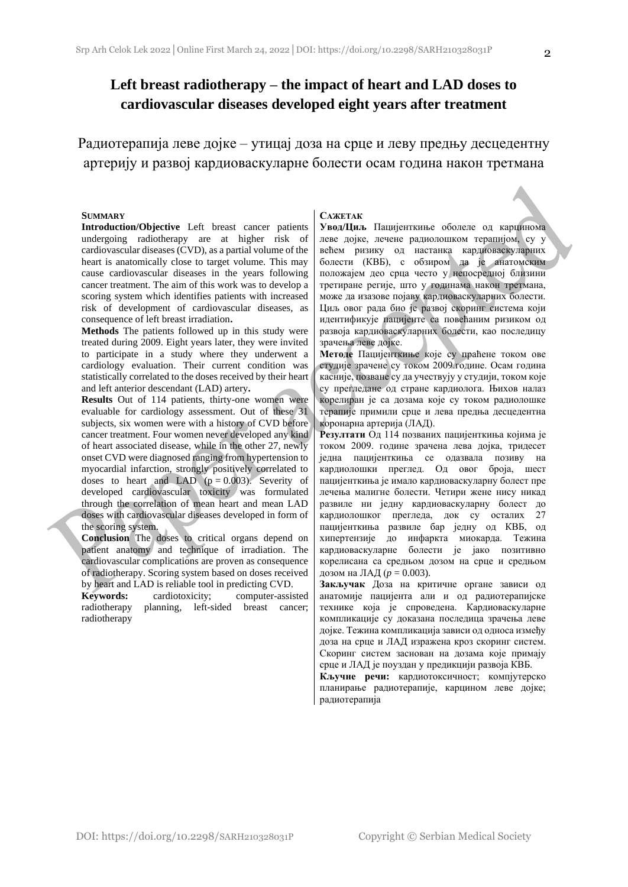Радиотерапија леве дојке – утицај доза на срце и леву предњу десцедентну артерију и развој кардиоваскуларне болести осам година након третмана

#### **SUMMARY**

**Introduction/Objective** Left breast cancer patients undergoing radiotherapy are at higher risk of cardiovascular diseases (CVD), as a partial volume of the heart is anatomically close to target volume. This may cause cardiovascular diseases in the years following cancer treatment. The aim of this work was to develop a scoring system which identifies patients with increased risk of development of cardiovascular diseases, as consequence of left breast irradiation**.**

**Methods** The patients followed up in this study were treated during 2009. Eight years later, they were invited to participate in a study where they underwent a cardiology evaluation. Their current condition was statistically correlated to the doses received by their heart and left anterior descendant (LAD) artery**.** 

**Results** Out of 114 patients, thirty-one women were evaluable for cardiology assessment. Out of these 31 subjects, six women were with a history of CVD before cancer treatment. Four women never developed any kind of heart associated disease, while in the other 27, newly onset CVD were diagnosed ranging from hypertension to myocardial infarction, strongly positively correlated to doses to heart and LAD ( $p = 0.003$ ). Severity of developed cardiovascular toxicity was formulated through the correlation of mean heart and mean LAD doses with cardiovascular diseases developed in form of the scoring system.

**Conclusion** The doses to critical organs depend on patient anatomy and technique of irradiation. The cardiovascular complications are proven as consequence of radiotherapy. Scoring system based on doses received by heart and LAD is reliable tool in predicting CVD.

**Keywords:** cardiotoxicity; computer-assisted radiotherapy planning, left-sided breast cancer; radiotherapy

#### **САЖЕТАК**

**Увод/Циљ** Пацијенткиње оболеле од карцинома леве дојке, лечене радиолошком терапијом, су у већем ризику од настанка кардиоваскуларних болести (КВБ), с обзиром да је анатомским положајем део срца често у непосредној близини третиране регије, што у годинама након третмана, може да изазове појаву кардиоваскуларних болести. Циљ овог рада био је развој скоринг система који идентификује пацијенте са повећаним ризиком од развоја кардиоваскуларних болести, као последицу зрачења леве дојке.

**Meтоде** Пацијенткиње које су праћене током ове студије зрачене су током 2009.године. Осам година касније, позване су да учествују у студији, током које су прегледане од стране кардиолога. Њихов налаз корелиран је са дозама које су током радиолошке терапије примили срце и лева предња десцедентна коронарна артерија (ЛАД).

**Рeзултати** Од 114 позваних пацијенткиња којима је током 2009. године зрачена лева дојка, тридесет једна пацијенткиња се одазвала позиву на кардиолошки преглед. Oд овог броја, шест пацијенткиња је имало кардиоваскуларну болест пре лечења малигне болести. Четири жене нису никад развиле ни једну кардиоваскуларну болест до кардиолошког прегледа, док су осталих 27 пацијенткиња развиле бар једну од КВБ, од хипертензије до инфаркта миокарда. Тежина кардиоваскуларне болести је јако позитивно корелисана са средњом дозом на срце и средњом дозом на ЛАД (*p* = 0.003).

**Закључак** Дозa на критичне органе зависи од анатомије пацијента али и од радиотерапијске технике која је спроведена. Кардиоваскуларне компликације су доказана последица зрачења леве дојке. Тежина компликација зависи од односа између доза на срце и ЛАД изражена кроз скоринг систем. Скоринг систем заснован на дозама које примају срце и ЛАД је поуздан у предикцији развоја КВБ.

**Кључне речи:** кардиотоксичност; компјутерско планирање радиотерапије, карцином леве дојке; радиотерапија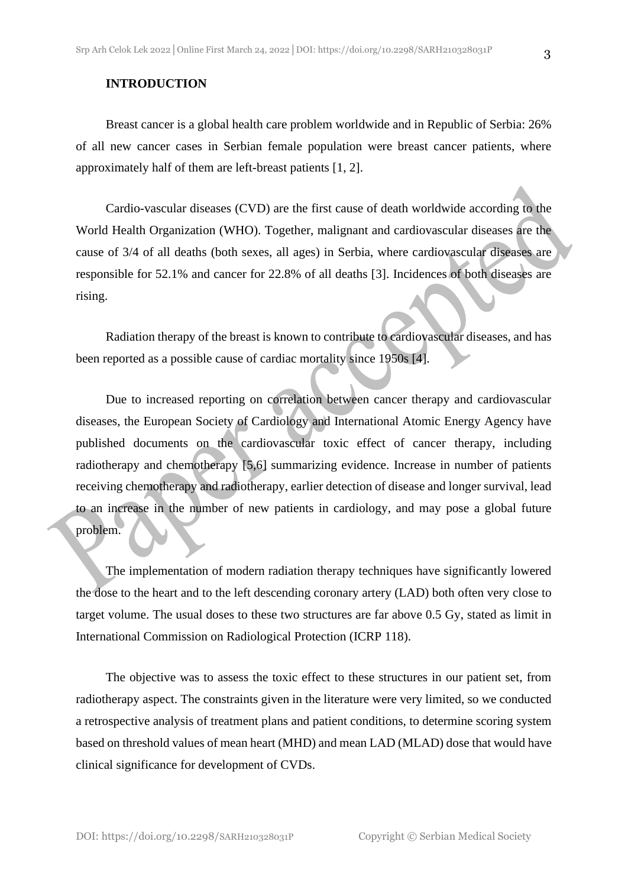Breast cancer is a global health care problem worldwide and in Republic of Serbia: 26% of all new cancer cases in Serbian female population were breast cancer patients, where approximately half of them are left-breast patients [1, 2].

Cardio-vascular diseases (CVD) are the first cause of death worldwide according to the World Health Organization (WHO). Together, malignant and cardiovascular diseases are the cause of 3/4 of all deaths (both sexes, all ages) in Serbia, where cardiovascular diseases are responsible for 52.1% and cancer for 22.8% of all deaths [3]. Incidences of both diseases are rising.

Radiation therapy of the breast is known to contribute to cardiovascular diseases, and has been reported as a possible cause of cardiac mortality since 1950s [4].

Due to increased reporting on correlation between cancer therapy and cardiovascular diseases, the European Society of Cardiology and International Atomic Energy Agency have published documents on the cardiovascular toxic effect of cancer therapy, including radiotherapy and chemotherapy [5,6] summarizing evidence. Increase in number of patients receiving chemotherapy and radiotherapy, earlier detection of disease and longer survival, lead to an increase in the number of new patients in cardiology, and may pose a global future problem.

The implementation of modern radiation therapy techniques have significantly lowered the dose to the heart and to the left descending coronary artery (LAD) both often very close to target volume. The usual doses to these two structures are far above 0.5 Gy, stated as limit in International Commission on Radiological Protection (ICRP 118).

The objective was to assess the toxic effect to these structures in our patient set, from radiotherapy aspect. The constraints given in the literature were very limited, so we conducted a retrospective analysis of treatment plans and patient conditions, to determine scoring system based on threshold values of mean heart (MHD) and mean LAD (MLAD) dose that would have clinical significance for development of CVDs.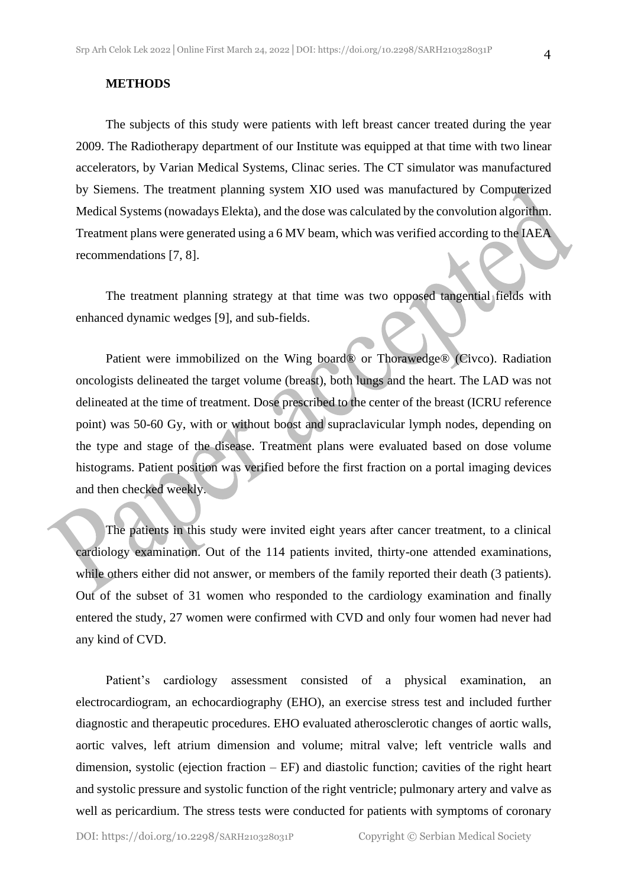#### **METHODS**

The subjects of this study were patients with left breast cancer treated during the year 2009. The Radiotherapy department of our Institute was equipped at that time with two linear accelerators, by Varian Medical Systems, Clinac series. The CT simulator was manufactured by Siemens. The treatment planning system XIO used was manufactured by Computerized Medical Systems (nowadays Elekta), and the dose was calculated by the convolution algorithm. Treatment plans were generated using a 6 MV beam, which was verified according to the IAEA recommendations [7, 8].

The treatment planning strategy at that time was two opposed tangential fields with enhanced dynamic wedges [9], and sub-fields.

Patient were immobilized on the Wing board® or Thorawedge® (Civco). Radiation oncologists delineated the target volume (breast), both lungs and the heart. The LAD was not delineated at the time of treatment. Dose prescribed to the center of the breast (ICRU reference point) was 50-60 Gy, with or without boost and supraclavicular lymph nodes, depending on the type and stage of the disease. Treatment plans were evaluated based on dose volume histograms. Patient position was verified before the first fraction on a portal imaging devices and then checked weekly.

The patients in this study were invited eight years after cancer treatment, to a clinical cardiology examination. Out of the 114 patients invited, thirty-one attended examinations, while others either did not answer, or members of the family reported their death (3 patients). Out of the subset of 31 women who responded to the cardiology examination and finally entered the study, 27 women were confirmed with CVD and only four women had never had any kind of CVD.

Patient's cardiology assessment consisted of a physical examination, an electrocardiogram, an echocardiography (EHO), an exercise stress test and included further diagnostic and therapeutic procedures. EHO evaluated atherosclerotic changes of aortic walls, aortic valves, left atrium dimension and volume; mitral valve; left ventricle walls and dimension, systolic (ejection fraction  $-EF$ ) and diastolic function; cavities of the right heart and systolic pressure and systolic function of the right ventricle; pulmonary artery and valve as well as pericardium. The stress tests were conducted for patients with symptoms of coronary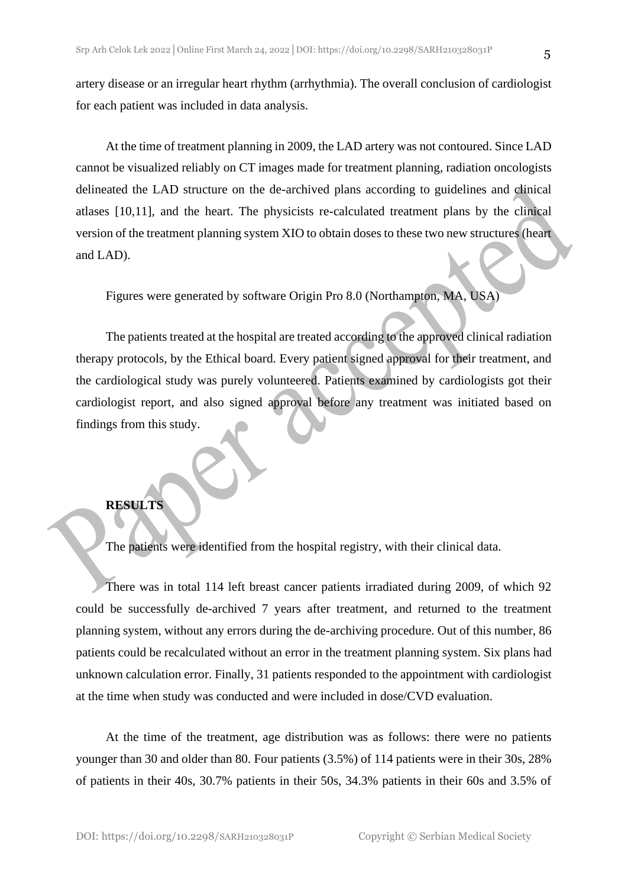artery disease or an irregular heart rhythm (arrhythmia). The overall conclusion of cardiologist for each patient was included in data analysis.

At the time of treatment planning in 2009, the LAD artery was not contoured. Since LAD cannot be visualized reliably on CT images made for treatment planning, radiation oncologists delineated the LAD structure on the de-archived plans according to guidelines and clinical atlases [10,11], and the heart. The physicists re-calculated treatment plans by the clinical version of the treatment planning system XIO to obtain doses to these two new structures (heart and LAD).

Figures were generated by software Origin Pro 8.0 (Northampton, MA, USA)

The patients treated at the hospital are treated according to the approved clinical radiation therapy protocols, by the Ethical board. Every patient signed approval for their treatment, and the cardiological study was purely volunteered. Patients examined by cardiologists got their cardiologist report, and also signed approval before any treatment was initiated based on findings from this study.

#### **RESULTS**

The patients were identified from the hospital registry, with their clinical data.

There was in total 114 left breast cancer patients irradiated during 2009, of which 92 could be successfully de-archived 7 years after treatment, and returned to the treatment planning system, without any errors during the de-archiving procedure. Out of this number, 86 patients could be recalculated without an error in the treatment planning system. Six plans had unknown calculation error. Finally, 31 patients responded to the appointment with cardiologist at the time when study was conducted and were included in dose/CVD evaluation.

At the time of the treatment, age distribution was as follows: there were no patients younger than 30 and older than 80. Four patients (3.5%) of 114 patients were in their 30s, 28% of patients in their 40s, 30.7% patients in their 50s, 34.3% patients in their 60s and 3.5% of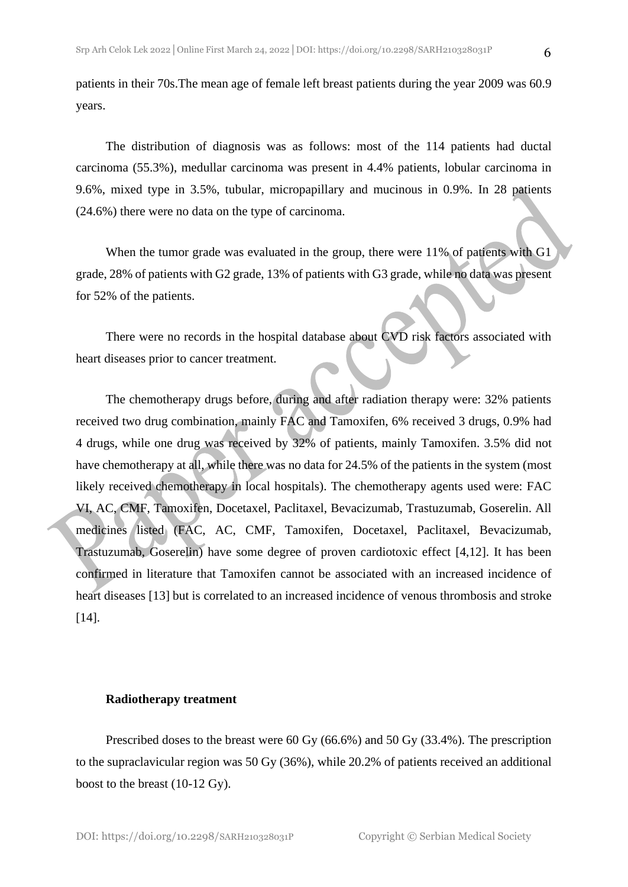patients in their 70s.The mean age of female left breast patients during the year 2009 was 60.9 years.

The distribution of diagnosis was as follows: most of the 114 patients had ductal carcinoma (55.3%), medullar carcinoma was present in 4.4% patients, lobular carcinoma in 9.6%, mixed type in 3.5%, tubular, micropapillary and mucinous in 0.9%. In 28 patients (24.6%) there were no data on the type of carcinoma.

When the tumor grade was evaluated in the group, there were 11% of patients with G1 grade, 28% of patients with G2 grade, 13% of patients with G3 grade, while no data was present for 52% of the patients.

There were no records in the hospital database about CVD risk factors associated with heart diseases prior to cancer treatment.

The chemotherapy drugs before, during and after radiation therapy were: 32% patients received two drug combination, mainly FAC and Tamoxifen, 6% received 3 drugs, 0.9% had 4 drugs, while one drug was received by 32% of patients, mainly Tamoxifen. 3.5% did not have chemotherapy at all, while there was no data for 24.5% of the patients in the system (most likely received chemotherapy in local hospitals). The chemotherapy agents used were: FAC VI, AC, CMF, Tamoxifen, Docetaxel, Paclitaxel, Bevacizumab, Trastuzumab, Goserelin. All medicines listed (FAC, AC, CMF, Tamoxifen, Docetaxel, Paclitaxel, Bevacizumab, Trastuzumab, Goserelin) have some degree of proven cardiotoxic effect [4,12]. It has been confirmed in literature that Tamoxifen cannot be associated with an increased incidence of heart diseases [13] but is correlated to an increased incidence of venous thrombosis and stroke [14].

#### **Radiotherapy treatment**

Prescribed doses to the breast were 60 Gy (66.6%) and 50 Gy (33.4%). The prescription to the supraclavicular region was 50 Gy (36%), while 20.2% of patients received an additional boost to the breast (10-12 Gy).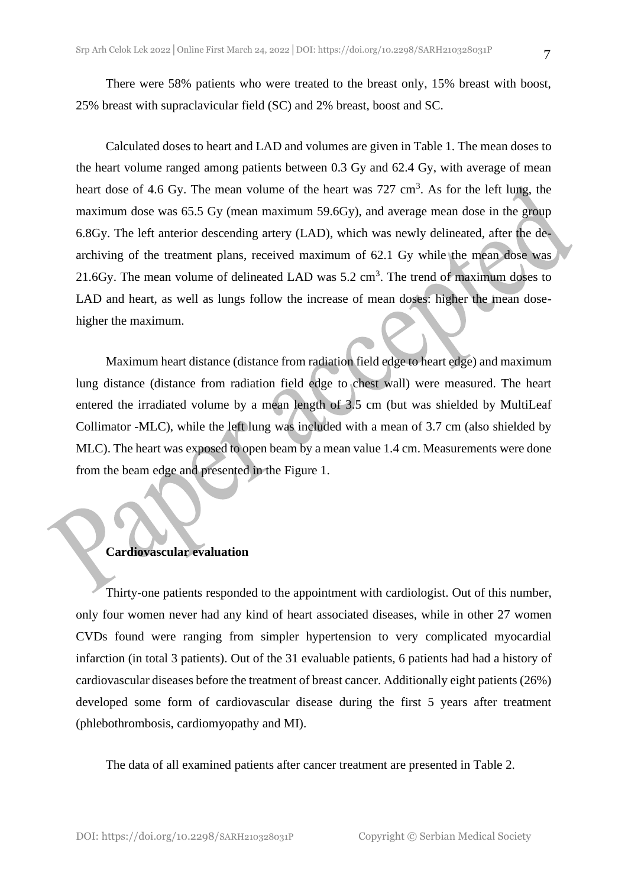There were 58% patients who were treated to the breast only, 15% breast with boost, 25% breast with supraclavicular field (SC) and 2% breast, boost and SC.

Calculated doses to heart and LAD and volumes are given in Table 1. The mean doses to the heart volume ranged among patients between 0.3 Gy and 62.4 Gy, with average of mean heart dose of 4.6 Gy. The mean volume of the heart was  $727 \text{ cm}^3$ . As for the left lung, the maximum dose was 65.5 Gy (mean maximum 59.6Gy), and average mean dose in the group 6.8Gy. The left anterior descending artery (LAD), which was newly delineated, after the dearchiving of the treatment plans, received maximum of 62.1 Gy while the mean dose was 21.6Gy. The mean volume of delineated LAD was  $5.2 \text{ cm}^3$ . The trend of maximum doses to LAD and heart, as well as lungs follow the increase of mean doses: higher the mean dosehigher the maximum.

Maximum heart distance (distance from radiation field edge to heart edge) and maximum lung distance (distance from radiation field edge to chest wall) were measured. The heart entered the irradiated volume by a mean length of 3.5 cm (but was shielded by MultiLeaf Collimator -MLC), while the left lung was included with a mean of 3.7 cm (also shielded by MLC). The heart was exposed to open beam by a mean value 1.4 cm. Measurements were done from the beam edge and presented in the Figure 1.

#### **Cardiovascular evaluation**

Thirty-one patients responded to the appointment with cardiologist. Out of this number, only four women never had any kind of heart associated diseases, while in other 27 women CVDs found were ranging from simpler hypertension to very complicated myocardial infarction (in total 3 patients). Out of the 31 evaluable patients, 6 patients had had a history of cardiovascular diseases before the treatment of breast cancer. Additionally eight patients (26%) developed some form of cardiovascular disease during the first 5 years after treatment (phlebothrombosis, cardiomyopathy and MI).

The data of all examined patients after cancer treatment are presented in Table 2.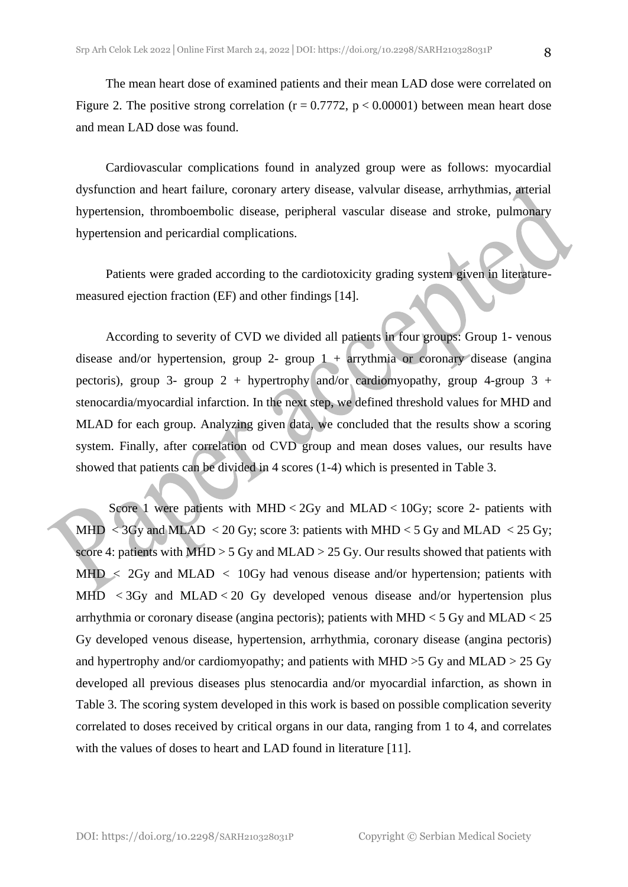The mean heart dose of examined patients and their mean LAD dose were correlated on Figure 2. The positive strong correlation ( $r = 0.7772$ ,  $p < 0.00001$ ) between mean heart dose and mean LAD dose was found.

Cardiovascular complications found in analyzed group were as follows: myocardial dysfunction and heart failure, coronary artery disease, valvular disease, arrhythmias, arterial hypertension, thromboembolic disease, peripheral vascular disease and stroke, pulmonary hypertension and pericardial complications.

Patients were graded according to the cardiotoxicity grading system given in literaturemeasured ejection fraction (EF) and other findings [14].

According to severity of CVD we divided all patients in four groups: Group 1- venous disease and/or hypertension, group 2- group  $1 +$  arrythmia or coronary disease (angina pectoris), group 3- group 2 + hypertrophy and/or cardiomyopathy, group 4-group 3 + stenocardia/myocardial infarction. In the next step, we defined threshold values for MHD and MLAD for each group. Analyzing given data, we concluded that the results show a scoring system. Finally, after correlation od CVD group and mean doses values, our results have showed that patients can be divided in 4 scores (1-4) which is presented in Table 3.

Score 1 were patients with  $MHD < 2Gy$  and  $MLAD < 10Gy$ ; score 2- patients with MHD < 3Gy and MLAD < 20 Gy; score 3: patients with MHD < 5 Gy and MLAD < 25 Gy; score 4: patients with MHD > 5 Gy and MLAD > 25 Gy. Our results showed that patients with  $MHD < 2Gy$  and  $MLAD < 10Gy$  had venous disease and/or hypertension; patients with MHD  $\langle$  3Gy and MLAD $\langle$  20 Gy developed venous disease and/or hypertension plus arrhythmia or coronary disease (angina pectoris); patients with MHD  $<$  5 Gy and MLAD  $<$  25 Gy developed venous disease, hypertension, arrhythmia, coronary disease (angina pectoris) and hypertrophy and/or cardiomyopathy; and patients with MHD  $>$ 5 Gy and MLAD  $>$  25 Gy developed all previous diseases plus stenocardia and/or myocardial infarction, as shown in Table 3. The scoring system developed in this work is based on possible complication severity correlated to doses received by critical organs in our data, ranging from 1 to 4, and correlates with the values of doses to heart and LAD found in literature [11].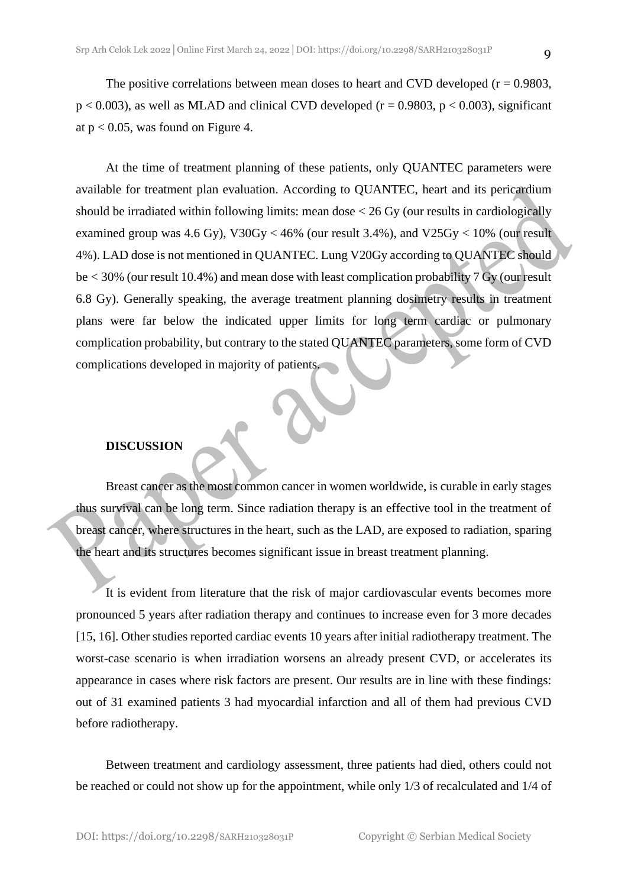The positive correlations between mean doses to heart and CVD developed  $(r = 0.9803,$  $p < 0.003$ ), as well as MLAD and clinical CVD developed ( $r = 0.9803$ ,  $p < 0.003$ ), significant at  $p < 0.05$ , was found on Figure 4.

At the time of treatment planning of these patients, only QUANTEC parameters were available for treatment plan evaluation. According to QUANTEC, heart and its pericardium should be irradiated within following limits: mean dose < 26 Gy (our results in cardiologically examined group was 4.6 Gy),  $V30Gy < 46\%$  (our result 3.4%), and  $V25Gy < 10\%$  (our result 4%). LAD dose is not mentioned in QUANTEC. Lung V20Gy according to QUANTEC should be < 30% (our result 10.4%) and mean dose with least complication probability 7 Gy (our result 6.8 Gy). Generally speaking, the average treatment planning dosimetry results in treatment plans were far below the indicated upper limits for long term cardiac or pulmonary complication probability, but contrary to the stated QUANTEC parameters, some form of CVD complications developed in majority of patients.

#### **DISCUSSION**

Breast cancer as the most common cancer in women worldwide, is curable in early stages thus survival can be long term. Since radiation therapy is an effective tool in the treatment of breast cancer, where structures in the heart, such as the LAD, are exposed to radiation, sparing the heart and its structures becomes significant issue in breast treatment planning.

It is evident from literature that the risk of major cardiovascular events becomes more pronounced 5 years after radiation therapy and continues to increase even for 3 more decades [15, 16]. Other studies reported cardiac events 10 years after initial radiotherapy treatment. The worst-case scenario is when irradiation worsens an already present CVD, or accelerates its appearance in cases where risk factors are present. Our results are in line with these findings: out of 31 examined patients 3 had myocardial infarction and all of them had previous CVD before radiotherapy.

Between treatment and cardiology assessment, three patients had died, others could not be reached or could not show up for the appointment, while only 1/3 of recalculated and 1/4 of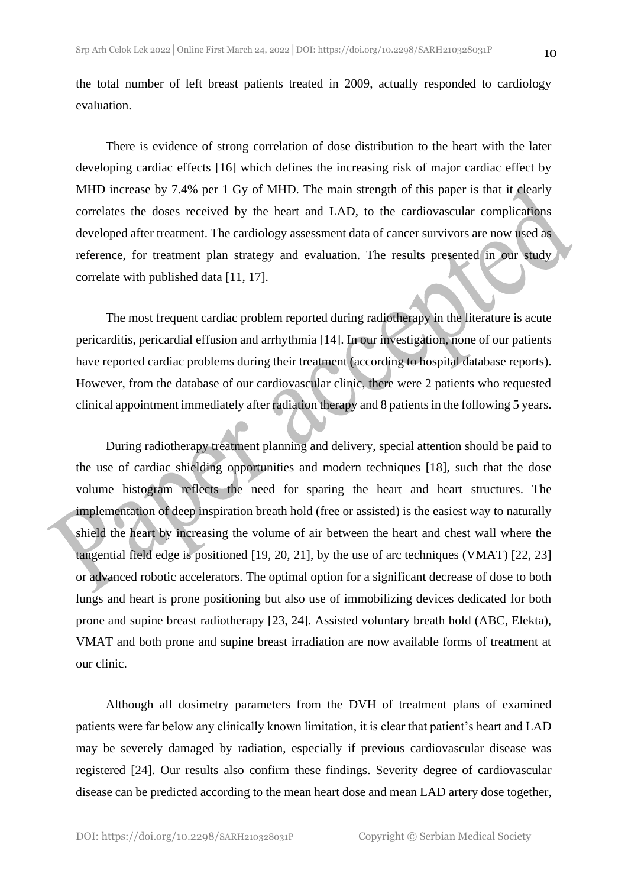the total number of left breast patients treated in 2009, actually responded to cardiology evaluation.

There is evidence of strong correlation of dose distribution to the heart with the later developing cardiac effects [16] which defines the increasing risk of major cardiac effect by MHD increase by 7.4% per 1 Gy of MHD. The main strength of this paper is that it clearly correlates the doses received by the heart and LAD, to the cardiovascular complications developed after treatment. The cardiology assessment data of cancer survivors are now used as reference, for treatment plan strategy and evaluation. The results presented in our study correlate with published data [11, 17].

The most frequent cardiac problem reported during radiotherapy in the literature is acute pericarditis, pericardial effusion and arrhythmia [14]. In our investigation, none of our patients have reported cardiac problems during their treatment (according to hospital database reports). However, from the database of our cardiovascular clinic, there were 2 patients who requested clinical appointment immediately after radiation therapy and 8 patients in the following 5 years.

During radiotherapy treatment planning and delivery, special attention should be paid to the use of cardiac shielding opportunities and modern techniques [18], such that the dose volume histogram reflects the need for sparing the heart and heart structures. The implementation of deep inspiration breath hold (free or assisted) is the easiest way to naturally shield the heart by increasing the volume of air between the heart and chest wall where the tangential field edge is positioned [19, 20, 21], by the use of arc techniques (VMAT) [22, 23] or advanced robotic accelerators. The optimal option for a significant decrease of dose to both lungs and heart is prone positioning but also use of immobilizing devices dedicated for both prone and supine breast radiotherapy [23, 24]. Assisted voluntary breath hold (ABC, Elekta), VMAT and both prone and supine breast irradiation are now available forms of treatment at our clinic.

Although all dosimetry parameters from the DVH of treatment plans of examined patients were far below any clinically known limitation, it is clear that patient's heart and LAD may be severely damaged by radiation, especially if previous cardiovascular disease was registered [24]. Our results also confirm these findings. Severity degree of cardiovascular disease can be predicted according to the mean heart dose and mean LAD artery dose together,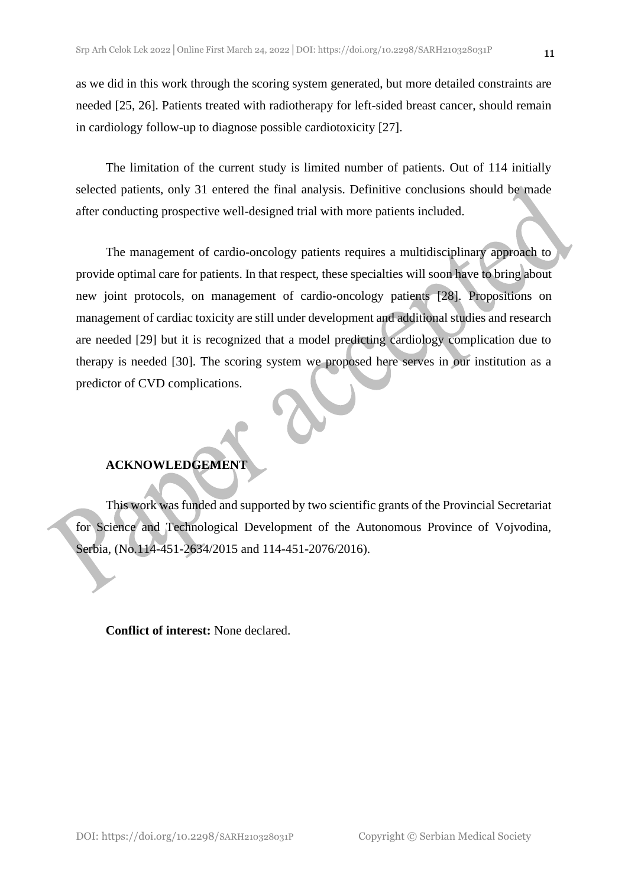as we did in this work through the scoring system generated, but more detailed constraints are needed [25, 26]. Patients treated with radiotherapy for left-sided breast cancer, should remain in cardiology follow-up to diagnose possible cardiotoxicity [27].

The limitation of the current study is limited number of patients. Out of 114 initially selected patients, only 31 entered the final analysis. Definitive conclusions should be made after conducting prospective well-designed trial with more patients included.

The management of cardio-oncology patients requires a multidisciplinary approach to provide optimal care for patients. In that respect, these specialties will soon have to bring about new joint protocols, on management of cardio-oncology patients [28]. Propositions on management of cardiac toxicity are still under development and additional studies and research are needed [29] but it is recognized that a model predicting cardiology complication due to therapy is needed [30]. The scoring system we proposed here serves in our institution as a predictor of CVD complications.

### **ACKNOWLEDGEMENT**

This work was funded and supported by two scientific grants of the Provincial Secretariat for Science and Technological Development of the Autonomous Province of Vojvodina, Serbia, (No.114-451-2634/2015 and 114-451-2076/2016).

**Conflict of interest:** None declared.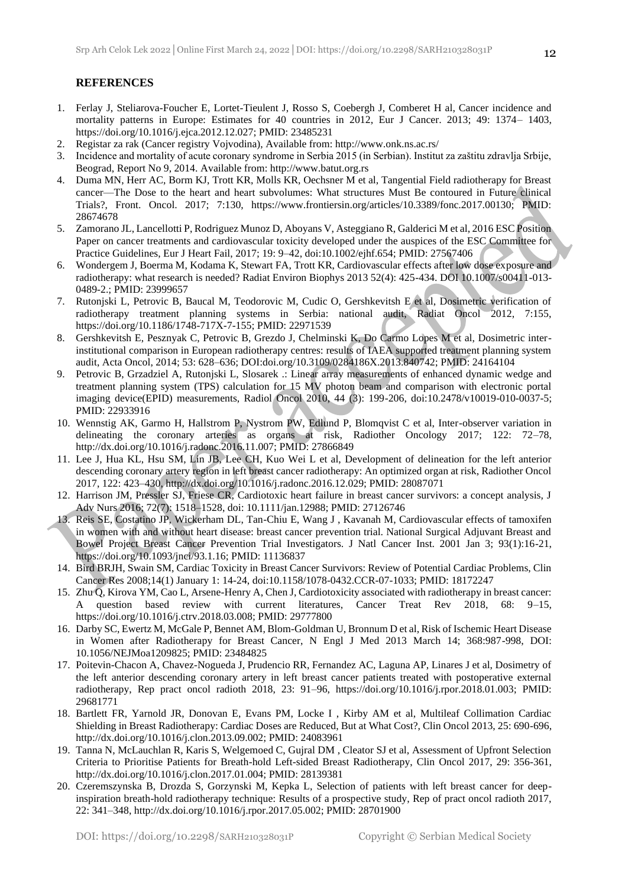#### **REFERENCES**

- 1. Ferlay J, Steliarova-Foucher E, Lortet-Tieulent J, Rosso S, Coebergh J, Comberet H al, Cancer incidence and mortality patterns in Europe: Estimates for 40 countries in 2012, Eur J Cancer. 2013; 49: 1374– 1403, https://doi.org/10.1016/j.ejca.2012.12.027; PMID: 23485231
- 2. Registar za rak (Cancer registry Vojvodina), Available from: http://www.onk.ns.ac.rs/
- 3. Incidence and mortality of acute coronary syndrome in Serbia 2015 (in Serbian). Institut za zaštitu zdravlja Srbije, Beograd, Report No 9, 2014. Available from: http://www.batut.org.rs
- 4. Duma MN, Herr AC, Borm KJ, Trott KR, Molls KR, Oechsner M et al, Tangential Field radiotherapy for Breast cancer—The Dose to the heart and heart subvolumes: What structures Must Be contoured in Future clinical Trials?, Front. Oncol. 2017; 7:130, https://www.frontiersin.org/articles/10.3389/fonc.2017.00130; PMID: 28674678
- 5. Zamorano JL, Lancellotti P, Rodriguez Munoz D, Aboyans V, Asteggiano R, Galderici M et al, 2016 ESC Position Paper on cancer treatments and cardiovascular toxicity developed under the auspices of the ESC Committee for Practice Guidelines, Eur J Heart Fail, 2017; 19: 9–42, doi:10.1002/ejhf.654; PMID: 27567406
- 6. Wondergem J, Boerma M, Kodama K, Stewart FA, Trott KR, Cardiovascular effects after low dose exposure and radiotherapy: what research is needed? Radiat Environ Biophys 2013 52(4): 425-434. DOI 10.1007/s00411-013- 0489-2.; PMID: 23999657
- 7. Rutonjski L, Petrovic B, Baucal M, Teodorovic M, Cudic O, Gershkevitsh E et al, Dosimetric verification of radiotherapy treatment planning systems in Serbia: national audit, Radiat Oncol 2012, 7:155, https://doi.org/10.1186/1748-717X-7-155; PMID: 22971539
- 8. Gershkevitsh E, Pesznyak C, Petrovic B, Grezdo J, Chelminski K, Do Carmo Lopes M et al, Dosimetric interinstitutional comparison in European radiotherapy centres: results of IAEA supported treatment planning system audit, Acta Oncol, 2014; 53: 628–636; DOI:doi.org/10.3109/0284186X.2013.840742; PMID: 24164104
- 9. Petrovic B, Grzadziel A, Rutonjski L, Slosarek .: Linear array measurements of enhanced dynamic wedge and treatment planning system (TPS) calculation for 15 MV photon beam and comparison with electronic portal imaging device(EPID) measurements, Radiol Oncol 2010, 44 (3): 199-206, doi:10.2478/v10019-010-0037-5; PMID: 22933916
- 10. Wennstig AK, Garmo H, Hallstrom P, Nystrom PW, Edlund P, Blomqvist C et al, Inter-observer variation in delineating the coronary arteries as organs at risk, Radiother Oncology 2017; 122: 72–78, http://dx.doi.org/10.1016/j.radonc.2016.11.007; PMID: 27866849
- 11. Lee J, Hua KL, Hsu SM, Lin JB, Lee CH, Kuo Wei L et al, Development of delineation for the left anterior descending coronary artery region in left breast cancer radiotherapy: An optimized organ at risk, Radiother Oncol 2017, 122: 423–430, http://dx.doi.org/10.1016/j.radonc.2016.12.029; PMID: 28087071
- 12. Harrison JM, Pressler SJ, Friese CR, Cardiotoxic heart failure in breast cancer survivors: a concept analysis, J Adv Nurs 2016; 72(7): 1518–1528, doi: 10.1111/jan.12988; PMID: 27126746
- 13. Reis SE, Costatino JP, Wickerham DL, Tan-Chiu E, Wang J , Kavanah M, Cardiovascular effects of tamoxifen in women with and without heart disease: breast cancer prevention trial. National Surgical Adjuvant Breast and Bowel Project Breast Cancer Prevention Trial Investigators. J Natl Cancer Inst. 2001 Jan 3; 93(1):16-21, https://doi.org/10.1093/jnci/93.1.16; PMID: 11136837
- 14. Bird BRJH, Swain SM, Cardiac Toxicity in Breast Cancer Survivors: Review of Potential Cardiac Problems, Clin Cancer Res 2008;14(1) January 1: 14-24, doi:10.1158/1078-0432.CCR-07-1033; PMID: 18172247
- 15. Zhu Q, Kirova YM, Cao L, Arsene-Henry A, Chen J, Cardiotoxicity associated with radiotherapy in breast cancer: A question based review with current literatures, Cancer Treat Rev 2018, 68: 9–15, https://doi.org/10.1016/j.ctrv.2018.03.008; PMID: 29777800
- 16. Darby SC, Ewertz M, McGale P, Bennet AM, Blom-Goldman U, Bronnum D et al, Risk of Ischemic Heart Disease in Women after Radiotherapy for Breast Cancer, N Engl J Med 2013 March 14; 368:987-998, DOI: 10.1056/NEJMoa1209825; PMID: 23484825
- 17. Poitevin-Chacon A, Chavez-Nogueda J, Prudencio RR, Fernandez AC, Laguna AP, Linares J et al, Dosimetry of the left anterior descending coronary artery in left breast cancer patients treated with postoperative external radiotherapy, Rep pract oncol radioth 2018, 23: 91–96, https://doi.org/10.1016/j.rpor.2018.01.003; PMID: 29681771
- 18. Bartlett FR, Yarnold JR, Donovan E, Evans PM, Locke I , Kirby AM et al, Multileaf Collimation Cardiac Shielding in Breast Radiotherapy: Cardiac Doses are Reduced, But at What Cost?, Clin Oncol 2013, 25: 690-696, http://dx.doi.org/10.1016/j.clon.2013.09.002; PMID: 24083961
- 19. Tanna N, McLauchlan R, Karis S, Welgemoed C, Gujral DM , Cleator SJ et al, Assessment of Upfront Selection Criteria to Prioritise Patients for Breath-hold Left-sided Breast Radiotherapy, Clin Oncol 2017, 29: 356-361, http://dx.doi.org/10.1016/j.clon.2017.01.004; PMID: 28139381
- 20. Czeremszynska B, Drozda S, Gorzynski M, Kepka L, Selection of patients with left breast cancer for deepinspiration breath-hold radiotherapy technique: Results of a prospective study, Rep of pract oncol radioth 2017, 22: 341–348, http://dx.doi.org/10.1016/j.rpor.2017.05.002; PMID: 28701900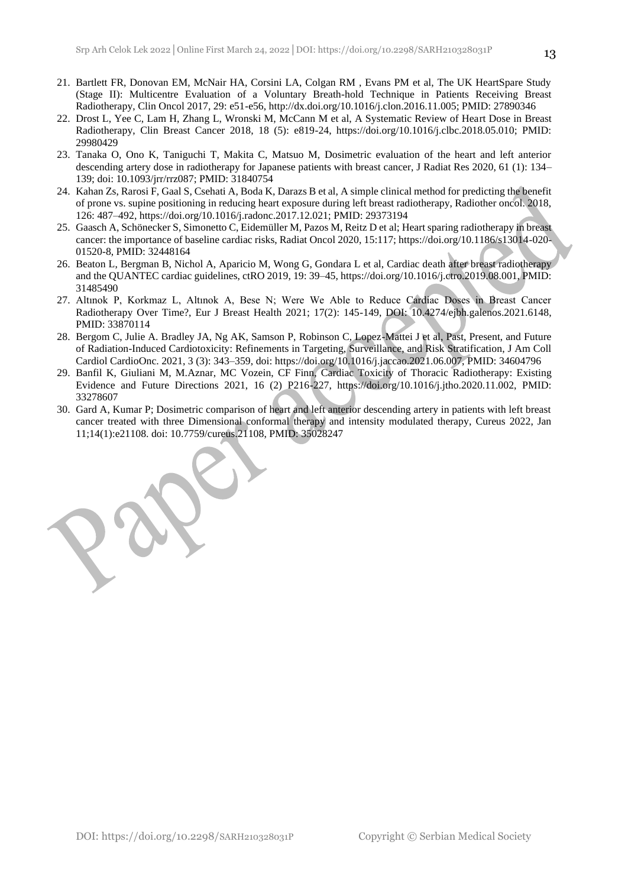- 21. Bartlett FR, Donovan EM, McNair HA, Corsini LA, Colgan RM , Evans PM et al, The UK HeartSpare Study (Stage II): Multicentre Evaluation of a Voluntary Breath-hold Technique in Patients Receiving Breast Radiotherapy, Clin Oncol 2017, 29: e51-e56, http://dx.doi.org/10.1016/j.clon.2016.11.005; PMID: 27890346
- 22. Drost L, Yee C, Lam H, Zhang L, Wronski M, McCann M et al, A Systematic Review of Heart Dose in Breast Radiotherapy, Clin Breast Cancer 2018, 18 (5): e819-24, https://doi.org/10.1016/j.clbc.2018.05.010; PMID: 29980429
- 23. Tanaka O, Ono K, Taniguchi T, Makita C, Matsuo M, Dosimetric evaluation of the heart and left anterior descending artery dose in radiotherapy for Japanese patients with breast cancer, J Radiat Res 2020, 61 (1): 134– 139; doi: 10.1093/jrr/rrz087; PMID: 31840754
- 24. Kahan Zs, Rarosi F, Gaal S, Csehati A, Boda K, Darazs B et al, A simple clinical method for predicting the benefit of prone vs. supine positioning in reducing heart exposure during left breast radiotherapy, Radiother oncol. 2018, 126: 487–492, https://doi.org/10.1016/j.radonc.2017.12.021; PMID: 29373194
- 25. Gaasch A, Schönecker S, Simonetto C, Eidemüller M, Pazos M, Reitz D et al; Heart sparing radiotherapy in breast cancer: the importance of baseline cardiac risks, Radiat Oncol 2020, 15:117; https://doi.org/10.1186/s13014-020- 01520-8, PMID: 32448164
- 26. Beaton L, Bergman B, Nichol A, Aparicio M, Wong G, Gondara L et al, Cardiac death after breast radiotherapy and the QUANTEC cardiac guidelines, ctRO 2019, 19: 39–45, https://doi.org/10.1016/j.ctro.2019.08.001, PMID: 31485490
- 27. Altınok P, Korkmaz L, Altınok A, Bese N; Were We Able to Reduce Cardiac Doses in Breast Cancer Radiotherapy Over Time?, Eur J Breast Health 2021; 17(2): 145-149, DOI: 10.4274/ejbh.galenos.2021.6148, PMID: 33870114
- 28. Bergom C, Julie A. Bradley JA, Ng AK, Samson P, Robinson C, Lopez-Mattei J et al, Past, Present, and Future of Radiation-Induced Cardiotoxicity: Refinements in Targeting, Surveillance, and Risk Stratification, J Am Coll Cardiol CardioOnc. 2021, 3 (3): 343–359, doi: https://doi.org/10.1016/j.jaccao.2021.06.007, PMID: 34604796
- 29. Banfil K, Giuliani M, M.Aznar, MC Vozein, CF Finn, Cardiac Toxicity of Thoracic Radiotherapy: Existing Evidence and Future Directions 2021, 16 (2) P216-227, https://doi.org/10.1016/j.jtho.2020.11.002, PMID: 33278607
- 30. Gard A, Kumar P; Dosimetric comparison of heart and left anterior descending artery in patients with left breast cancer treated with three Dimensional conformal therapy and intensity modulated therapy, Cureus 2022, Jan 11;14(1):e21108. doi: 10.7759/cureus.21108, PMID: 35028247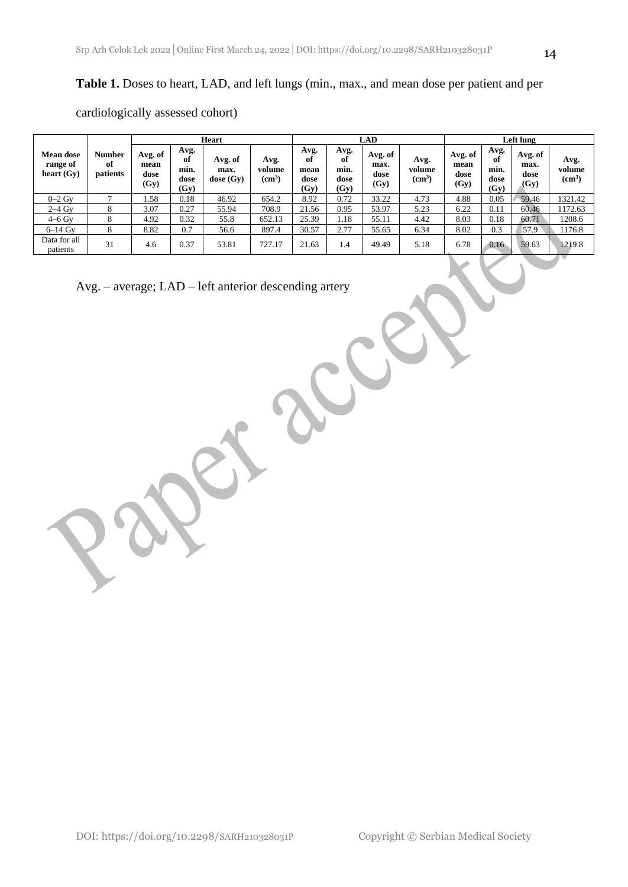### **Table 1.** Doses to heart, LAD, and left lungs (min., max., and mean dose per patient and per

cardiologically assessed cohort)

|                                              |                          | <b>Heart</b>                    |                                    |                                |                                      | <b>LAD</b>                         |                                    |                                 |                                      | Left lung                       |                                    |                                 |                                      |
|----------------------------------------------|--------------------------|---------------------------------|------------------------------------|--------------------------------|--------------------------------------|------------------------------------|------------------------------------|---------------------------------|--------------------------------------|---------------------------------|------------------------------------|---------------------------------|--------------------------------------|
| <b>Mean dose</b><br>range of<br>heart $(Gy)$ | Number<br>of<br>patients | Avg. of<br>mean<br>dose<br>(Gy) | Avg.<br>of<br>min.<br>dose<br>(Gy) | Avg. of<br>max.<br>dose $(Gy)$ | Avg.<br>volume<br>(cm <sup>3</sup> ) | Avg.<br>оf<br>mean<br>dose<br>(Gy) | Avg.<br>of<br>min.<br>dose<br>(Gy) | Avg. of<br>max.<br>dose<br>(Gy) | Avg.<br>volume<br>(cm <sup>3</sup> ) | Avg. of<br>mean<br>dose<br>(Gy) | Avg.<br>of<br>min.<br>dose<br>(Gy) | Avg. of<br>max.<br>dose<br>(Gy) | Avg.<br>volume<br>(cm <sup>3</sup> ) |
| $0-2$ Gy                                     |                          | L.58                            | 0.18                               | 46.92                          | 654.2                                | 8.92                               | 0.72                               | 33.22                           | 4.73                                 | 4.88                            | 0.05                               | 59.46                           | 1321.42                              |
| $2-4$ Gy                                     | 8                        | 3.07                            | 0.27                               | 55.94                          | 708.9                                | 21.56                              | 0.95                               | 53.97                           | 5.23                                 | 6.22                            | 0.11                               | 60.46                           | 1172.63                              |
| $4-6$ Gv                                     | 8                        | 4.92                            | 0.32                               | 55.8                           | 652.13                               | 25.39                              | 1.18                               | 55.11                           | 4.42                                 | 8.03                            | 0.18                               | 60.71                           | 1208.6                               |
| $6-14$ Gv                                    | 8                        | 8.82                            | 0.7                                | 56.6                           | 897.4                                | 30.57                              | 2.77                               | 55.65                           | 6.34                                 | 8.02                            | 0.3                                | 57.9                            | 1176.8                               |
| Data for all<br>patients                     | 31                       | 4.6                             | 0.37                               | 53.81                          | 727.17                               | 21.63                              | 1.4                                | 49.49                           | 5.18                                 | 6.78                            | 0.16                               | 59.63                           | 1219.8                               |

Avg. – average; LAD – left anterior descending artery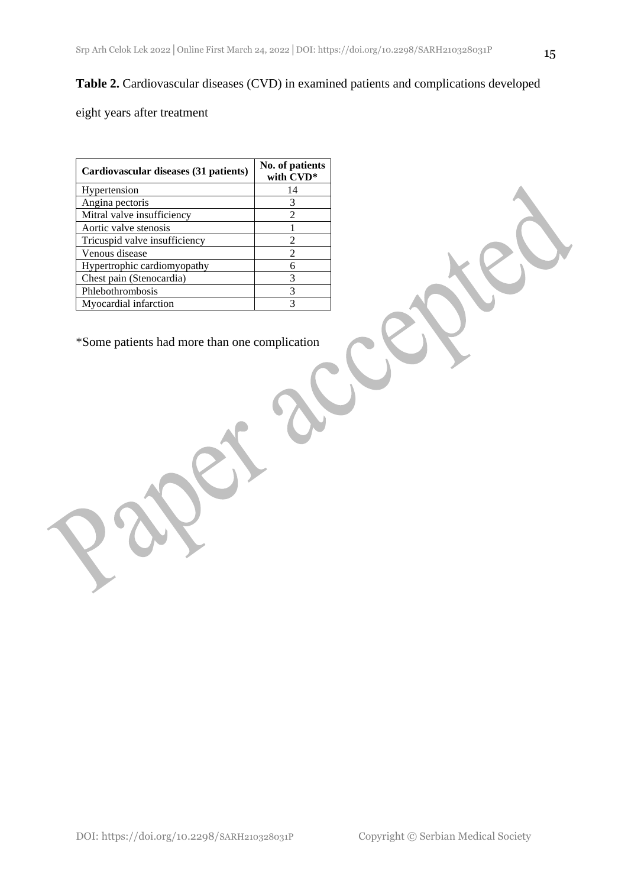### **Table 2.** Cardiovascular diseases (CVD) in examined patients and complications developed

eight years after treatment

| Cardiovascular diseases (31 patients) | No. of patients<br>with CVD* |  |  |
|---------------------------------------|------------------------------|--|--|
| Hypertension                          | 14                           |  |  |
| Angina pectoris                       | 3                            |  |  |
| Mitral valve insufficiency            | 2                            |  |  |
| Aortic valve stenosis                 |                              |  |  |
| Tricuspid valve insufficiency         | 2                            |  |  |
| Venous disease                        | 2                            |  |  |
| Hypertrophic cardiomy opathy          |                              |  |  |
| Chest pain (Stenocardia)              | 3                            |  |  |
| Phlebothrombosis                      | 3                            |  |  |
| Myocardial infarction                 |                              |  |  |

\*Some patients had more than one complication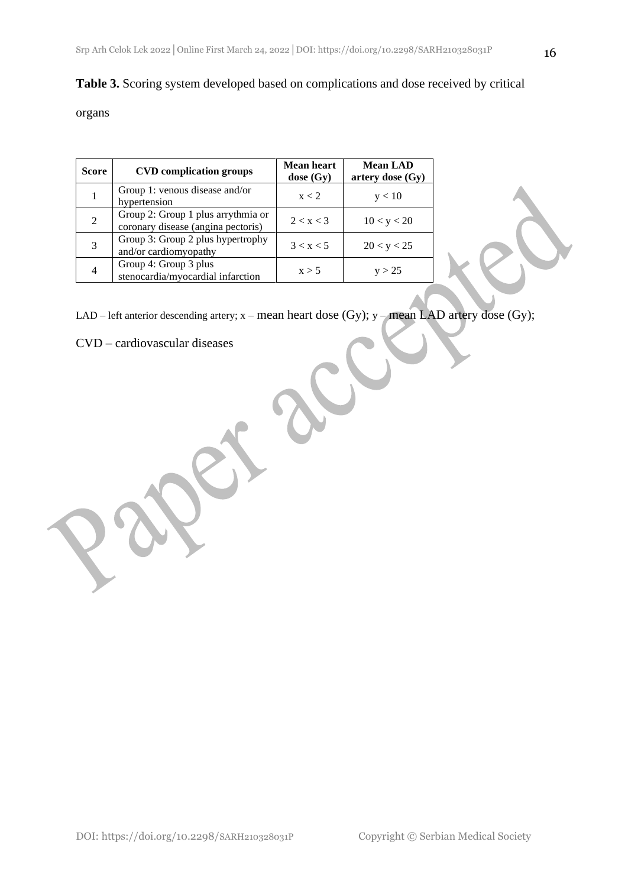### **Table 3.** Scoring system developed based on complications and dose received by critical

### organs

| Score         | <b>CVD</b> complication groups                                           | <b>Mean heart</b><br>$close (Gy)$ | <b>Mean LAD</b><br>artery dose (Gy) |  |  |
|---------------|--------------------------------------------------------------------------|-----------------------------------|-------------------------------------|--|--|
|               | Group 1: venous disease and/or<br>hypertension                           | x < 2                             | y < 10                              |  |  |
| 2             | Group 2: Group 1 plus arrythmia or<br>coronary disease (angina pectoris) | 2 < x < 3                         | 10 < y < 20                         |  |  |
| $\mathcal{R}$ | Group 3: Group 2 plus hypertrophy<br>and/or cardiomyopathy               | 3 < x < 5                         | 20 < y < 25                         |  |  |
|               | Group 4: Group 3 plus<br>stenocardia/myocardial infarction               | x > 5                             | v > 25                              |  |  |

LAD – left anterior descending artery; x – mean heart dose (Gy); y – mean LAD artery dose (Gy);

CVD – cardiovascular diseases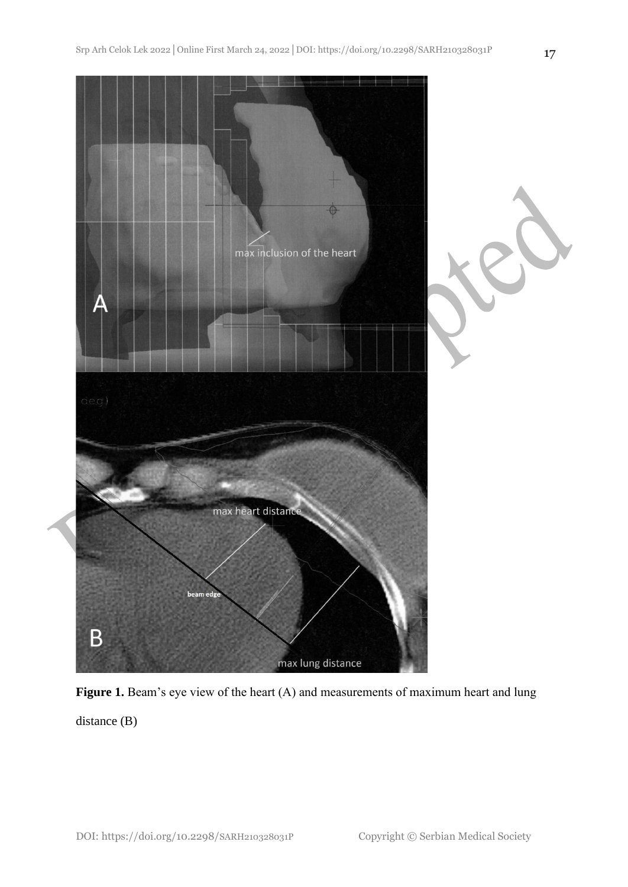

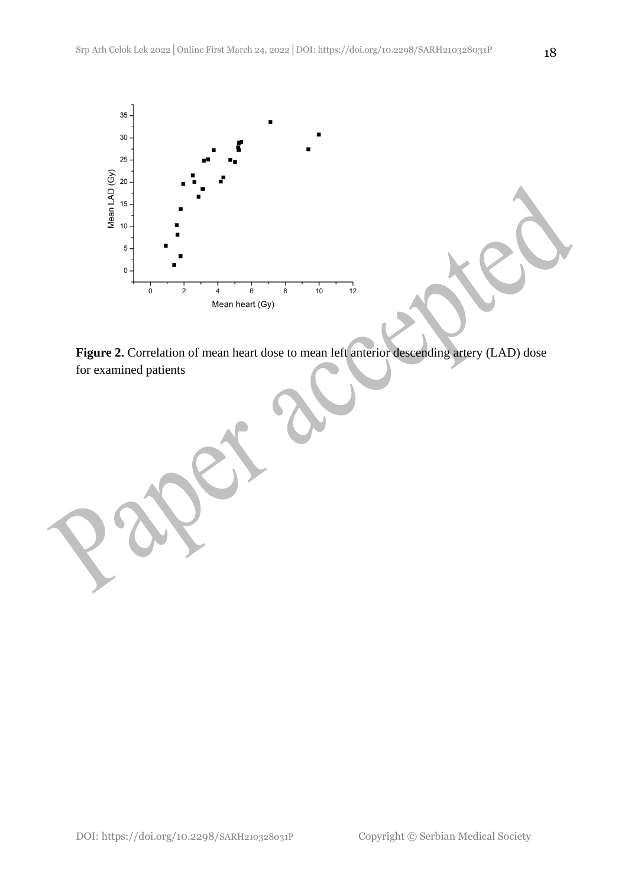

**Figure 2.** Correlation of mean heart dose to mean left anterior descending artery (LAD) dose for examined patients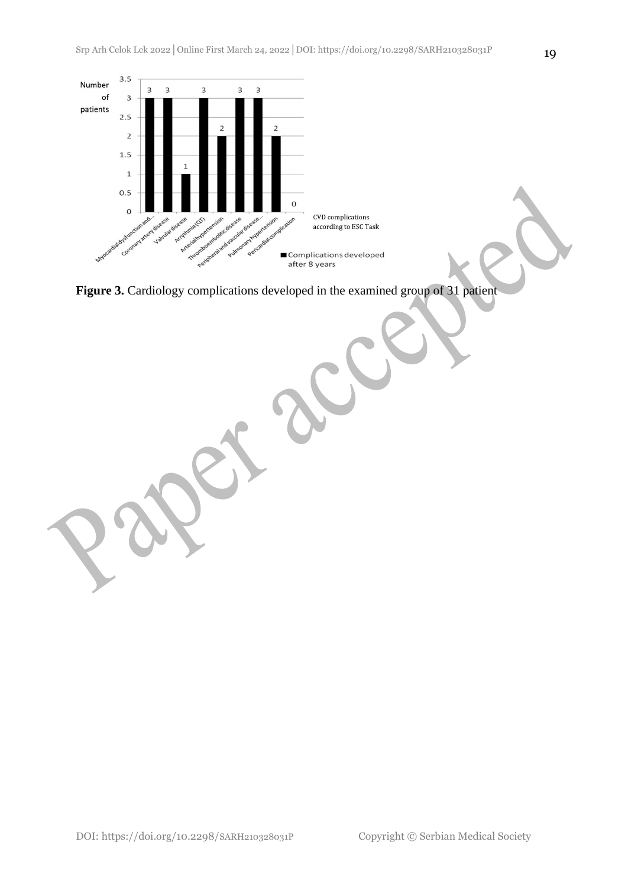

**Figure 3.** Cardiology complications developed in the examined group of 31 patient

DOI: https://doi.org/10.2298/SARH210328031P Copyright © Serbian Medical Society